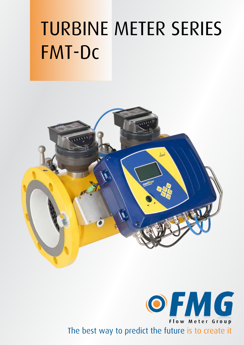# TURBINE METER SERIES FMT-Dc



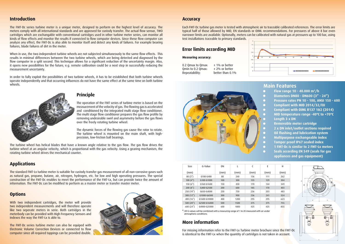#### **Principle**

The operation of the FMT series of turbine meter is based on the measurement of the velocity of gas. The flowing gas is accelerated and conditioned by the integrated multi stage flow conditioner. The multi stage flow conditioner prepares the gas flow profile by removing undesirable swirl and asymmetry before the gas flows over the freely rotating turbine wheel.

The dynamic forces of the flowing gas cause the rotor to rotate. The turbine wheel is mounted on the main shaft, with highprecision, low-friction ball bearings.

The turbine wheel has helical blades that have a known angle relative to the gas flow. The gas flow drives the turbine wheel at an angular velocity, which is proportional with the gas velocity. Using a gearing mechanism, the rotating turbine wheel drives the mechanical counter.

#### **Introduction**

The standard FMT-Lx turbine meter is suitable for custody transfer gas measurement of all non-corrosive gases such as natural gas, propane, butane, air, nitrogen, hydrogen, etc. for low and high operating pressures. The special construction of the FMT-Dc enables to meet the performance of the FMT-Lx, but can provide twice the amount of information. The FMT-Dc can be modified to perform as a master meter or transfer master meter.

The FMT-Dc series turbine meter is a unique meter, designed to perform on the highest level of accuracy. The meters comply with all international standards and are approved for custody transfer. The actual flow sensor, TWO cartridges which are exchangable with conventional cartridges used in other turbine meter series, can monitor all kinds of flow effects and monitor the results if connected to flow computer devices. Since these flow computer can analyze any effect, the FMT-Dc is also able to monitor itself and detect any kinds of failures. For example bearing failures, blade failures of dirt in the meter.

With two independent cartridges, the meter will provide two independent measurements and will therefore operate like two seperate meters in serie. Both cartridges in the meterbody can be provided with High Frequency Sensors and Indexes the way the FMT-Lx is able to.

When in use, the two independent turbine wheels are not subjected simultaneously to the same flow effects. This results in minimal differences between the two turbine wheels, which are being detected and diagnosed by the flow computer in a split second. This technique allows for a significant reduction of the uncertainty margin. Also, it opens new possibilities for the future, e.g. remote calibration could be a next step in successfully reducing the measurement uncertainty.

0.2 Qmax to Qmax:  $\pm$  1% or better Omin to 0.2 Omax:  $\pm$  2% or better Repeatability: better than 0.1%

In order to fully exploit the possibilities of two turbine wheels, it has to be established that both turbine wheels operate independently and that occurring influences do not have the same effect at the same time on both turbine wheels.





0.5 1 1.5 2





## **Applications**

#### **Options**

The FMT-Dc series turbine meter can also be equiped with Electronic Volume Correction Devices or connected to flow computer since all required tappings can be provided double.



#### **Accuracy**

Each FMT-Dc turbine gas meter is tested with atmospheric air to traceable calibrated references. The error limits are typical half of those allowed by MID, EN standards or OIML recommendations. For pressures of above 8 bar even narrower limits are available. Optionally, meters can be calibrated with natural gas at pressures up to 100 bar, using test installations traceable to primary standards.

# **Error limits according MID**

#### **Measuring accuracy:**

|                         | <b>Main Features</b>                       |
|-------------------------|--------------------------------------------|
| $\bullet$               | Flow range 10 - 40.000 $m^3/h$             |
| $\boldsymbol{\Diamond}$ | Diameters DN80 - DN600 (3" - 24")          |
| $\bullet$               | Pressure rates PN 10 - 100, ANSI 150 - 600 |
| $\bullet$               | Compliant with MID 2014/32/EU              |
| $\bullet$               | Compliant with OIML R137 1&2 (2014)        |
| $\bullet$               | MID temperature range -40°C to +70°C       |
| $\bullet$               | Length 3 x DN                              |
| $\bullet$               | Removable meter cartridge                  |
| $\bullet$               | 2 x DN inlet/outlet sections required      |
| $\bullet$               | Oil flushing and lubrication system        |
| $\bullet$               | Multipurpose exchangeable index            |
| $\bullet$               | Tamper proof IP67 sealed index             |
| $\bullet$               | 1 FMT-Dc is similar to 2 FMT-Lx meters     |
| $\bullet$               | Seals according EN 549 (seals for gas      |
|                         | appliances and gas equipment)              |

| E    | н    |  |  |  |
|------|------|--|--|--|
| (mm) | (mm) |  |  |  |
| 111  | 262  |  |  |  |
| 129  | 304  |  |  |  |
| 144  | 349  |  |  |  |
| 170  | 403  |  |  |  |
| 203  | 483  |  |  |  |
| 241  | 524  |  |  |  |
| 295  | 623  |  |  |  |
| 375  | 755  |  |  |  |
| 425  | 855  |  |  |  |
|      |      |  |  |  |

 $\overline{a}$  H E <u>I</u> C

| Size                   | G-Value      | DN   | L    | C    | E    | H   |
|------------------------|--------------|------|------|------|------|-----|
| (mm)                   |              | (mm) | (mm) | (mm) | (mm) | (mn |
| 80(3'')                | G100-G400    | 80   | 240  | 136  | 111  | 262 |
| 100 $(4'')$            | G100-G1000   | 100  | 300  | 155  | 129  | 304 |
| 150(6'')               | G160-G1600   | 150  | 450  | 170  | 144  | 349 |
| 200(8")                | G400-G2500   | 200  | 600  | 185  | 170  | 403 |
| 250 (10")              | G650-G4000   | 250  | 750  | 236  | 203  | 483 |
| 300 $(12'')$           | G1000-G6500  | 300  | 900  | 236  | 241  | 524 |
| 400 (16")              | G1600-G10000 | 400  | 1200 | 295  | 295  | 623 |
| 500 $(20'')$           | G2500-G16000 | 500  | 1500 | 375  | 375  | 755 |
| 600(24 <sup>''</sup> ) | G4000-G25000 | 600  | 1800 | 425  | 425  | 855 |

**\***. All G-values will be combined with a measuring range of 1 to 20 measured with air under atmospheric conditions

## **More information**

For missing information refer to the FMT-Lx Turbine meter brochure since the FMT-Dc is identical to the FMT-Lx when the quantity of cartridges is not taken in account.